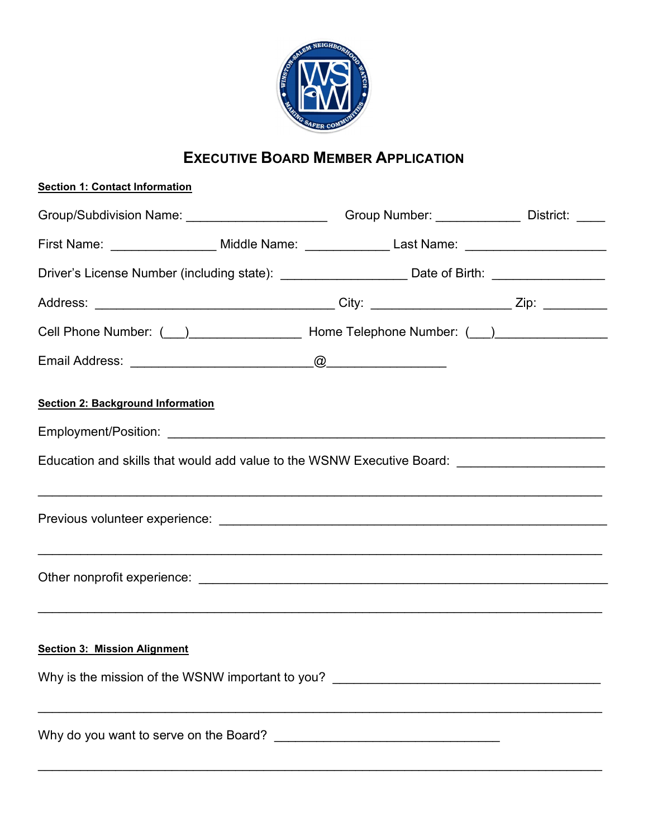

## EXECUTIVE BOARD MEMBER APPLICATION

| <b>Section 1: Contact Information</b>                                                                                   |  |
|-------------------------------------------------------------------------------------------------------------------------|--|
| Group/Subdivision Name: ________________________Group Number: _____________District: _____                              |  |
| First Name: _________________ Middle Name: _____________ Last Name: _____________                                       |  |
| Driver's License Number (including state): _______________________Date of Birth: __________________                     |  |
|                                                                                                                         |  |
| Cell Phone Number: ( ) ___________________ Home Telephone Number: ( ) ___________                                       |  |
|                                                                                                                         |  |
| <b>Section 2: Background Information</b>                                                                                |  |
|                                                                                                                         |  |
| Education and skills that would add value to the WSNW Executive Board: ____________________________                     |  |
|                                                                                                                         |  |
|                                                                                                                         |  |
| <b>Section 3: Mission Alignment</b><br>Why is the mission of the WSNW important to you? _______________________________ |  |
|                                                                                                                         |  |

\_\_\_\_\_\_\_\_\_\_\_\_\_\_\_\_\_\_\_\_\_\_\_\_\_\_\_\_\_\_\_\_\_\_\_\_\_\_\_\_\_\_\_\_\_\_\_\_\_\_\_\_\_\_\_\_\_\_\_\_\_\_\_\_\_\_\_\_\_\_\_\_\_\_\_\_\_\_\_\_